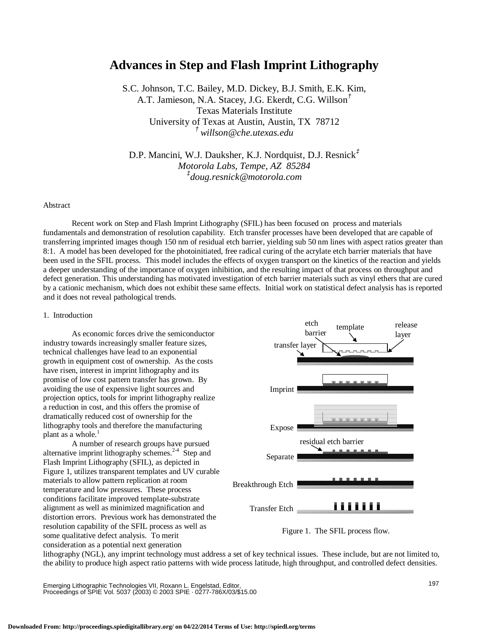# **Advances in Step and Flash Imprint Lithography**

S.C. Johnson, T.C. Bailey, M.D. Dickey, B.J. Smith, E.K. Kim, A.T. Jamieson, N.A. Stacey, J.G. Ekerdt, C.G. Willson *†* Texas Materials Institute University of Texas at Austin, Austin, TX 78712 *† willson@che.utexas.edu*

D.P. Mancini, W.J. Dauksher, K.J. Nordquist, D.J. Resnick *‡ Motorola Labs, Tempe, AZ 85284 ‡ doug.resnick@motorola.com*

### Abstract

 Recent work on Step and Flash Imprint Lithography (SFIL) has been focused on process and materials fundamentals and demonstration of resolution capability. Etch transfer processes have been developed that are capable of transferring imprinted images though 150 nm of residual etch barrier, yielding sub 50 nm lines with aspect ratios greater than 8:1. A model has been developed for the photoinitiated, free radical curing of the acrylate etch barrier materials that have been used in the SFIL process. This model includes the effects of oxygen transport on the kinetics of the reaction and yields a deeper understanding of the importance of oxygen inhibition, and the resulting impact of that process on throughput and defect generation. This understanding has motivated investigation of etch barrier materials such as vinyl ethers that are cured by a cationic mechanism, which does not exhibit these same effects. Initial work on statistical defect analysis has is reported and it does not reveal pathological trends.

# 1. Introduction

 As economic forces drive the semiconductor industry towards increasingly smaller feature sizes, technical challenges have lead to an exponential growth in equipment cost of ownership. As the costs have risen, interest in imprint lithography and its promise of low cost pattern transfer has grown. By avoiding the use of expensive light sources and projection optics, tools for imprint lithography realize a reduction in cost, and this offers the promise of dramatically reduced cost of ownership for the lithography tools and therefore the manufacturing plant as a whole.<sup>1</sup>

A number of research groups have pursued alternative imprint lithography schemes.<sup>2-4</sup> Step and Flash Imprint Lithography (SFIL), as depicted in Figure 1, utilizes transparent templates and UV curable materials to allow pattern replication at room temperature and low pressures. These process conditions facilitate improved template-substrate alignment as well as minimized magnification and distortion errors. Previous work has demonstrated the resolution capability of the SFIL process as well as some qualitative defect analysis. To merit consideration as a potential next generation





lithography (NGL), any imprint technology must address a set of key technical issues. These include, but are not limited to, the ability to produce high aspect ratio patterns with wide process latitude, high throughput, and controlled defect densities.

Emerging Lithographic Technologies VII, Roxann L. Engelstad, Editor, Proceedings of SPIE Vol. 5037 (2003) © 2003 SPIE · 0277-786X/03/\$15.00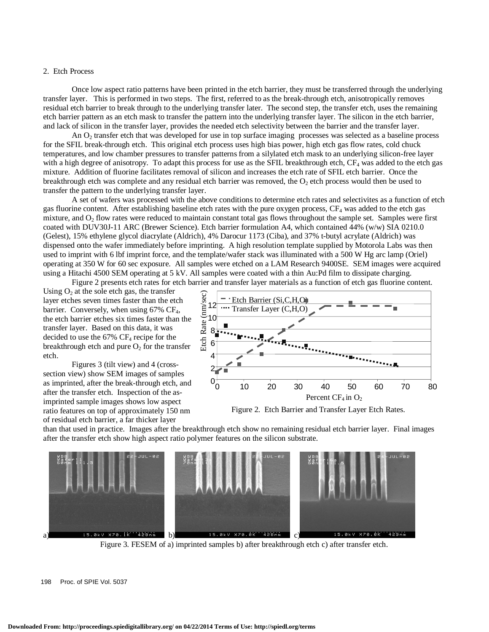## 2. Etch Process

Once low aspect ratio patterns have been printed in the etch barrier, they must be transferred through the underlying transfer layer. This is performed in two steps. The first, referred to as the break-through etch, anisotropically removes residual etch barrier to break through to the underlying transfer later. The second step, the transfer etch, uses the remaining etch barrier pattern as an etch mask to transfer the pattern into the underlying transfer layer. The silicon in the etch barrier, and lack of silicon in the transfer layer, provides the needed etch selectivity between the barrier and the transfer layer.

An  $O<sub>2</sub>$  transfer etch that was developed for use in top surface imaging processes was selected as a baseline process for the SFIL break-through etch. This original etch process uses high bias power, high etch gas flow rates, cold chuck temperatures, and low chamber pressures to transfer patterns from a silylated etch mask to an underlying silicon-free layer with a high degree of anisotropy. To adapt this process for use as the SFIL breakthrough etch,  $CF_4$  was added to the etch gas mixture. Addition of fluorine facilitates removal of silicon and increases the etch rate of SFIL etch barrier. Once the breakthrough etch was complete and any residual etch barrier was removed, the  $O<sub>2</sub>$  etch process would then be used to transfer the pattern to the underlying transfer layer.

A set of wafers was processed with the above conditions to determine etch rates and selectivites as a function of etch gas fluorine content. After establishing baseline etch rates with the pure oxygen process,  $CF_4$  was added to the etch gas mixture, and  $O_2$  flow rates were reduced to maintain constant total gas flows throughout the sample set. Samples were first coated with DUV30J-11 ARC (Brewer Science). Etch barrier formulation A4, which contained 44% (w/w) SIA 0210.0 (Gelest), 15% ethylene glycol diacrylate (Aldrich), 4% Darocur 1173 (Ciba), and 37% t-butyl acrylate (Aldrich) was dispensed onto the wafer immediately before imprinting. A high resolution template supplied by Motorola Labs was then used to imprint with 6 lbf imprint force, and the template/wafer stack was illuminated with a 500 W Hg arc lamp (Oriel) operating at 350 W for 60 sec exposure. All samples were etched on a LAM Research 9400SE. SEM images were acquired using a Hitachi 4500 SEM operating at 5 kV. All samples were coated with a thin Au:Pd film to dissipate charging. Figure 2 presents etch rates for etch barrier and transfer layer materials as a function of etch gas fluorine content.

Using  $O<sub>2</sub>$  at the sole etch gas, the transfer layer etches seven times faster than the etch barrier. Conversely, when using  $67\%$  CF<sub>4</sub>. the etch barrier etches six times faster than the transfer layer. Based on this data, it was decided to use the 67% CF4 recipe for the breakthrough etch and pure  $O_2$  for the transfer etch.

 Figures 3 (tilt view) and 4 (crosssection view) show SEM images of samples as imprinted, after the break-through etch, and after the transfer etch. Inspection of the asimprinted sample images shows low aspect ratio features on top of approximately 150 nm of residual etch barrier, a far thicker layer



Figure 2. Etch Barrier and Transfer Layer Etch Rates.

than that used in practice. Images after the breakthrough etch show no remaining residual etch barrier layer. Final images after the transfer etch show high aspect ratio polymer features on the silicon substrate.



Figure 3. FESEM of a) imprinted samples b) after breakthrough etch c) after transfer etch.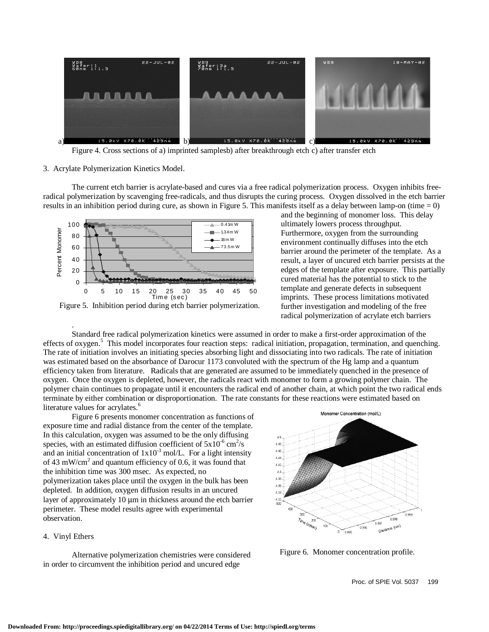

Figure 4. Cross sections of a) imprinted samplesb) after breakthrough etch c) after transfer etch

#### 3. Acrylate Polymerization Kinetics Model.

The current etch barrier is acrylate-based and cures via a free radical polymerization process. Oxygen inhibits freeradical polymerization by scavenging free-radicals, and thus disrupts the curing process. Oxygen dissolved in the etch barrier results in an inhibition period during cure, as shown in Figure 5. This manifests itself as a delay between lamp-on (time  $= 0$ )



Figure 5. Inhibition period during etch barrier polymerization.

and the beginning of monomer loss. This delay ultimately lowers process throughput. Furthermore, oxygen from the surrounding environment continually diffuses into the etch barrier around the perimeter of the template. As a result, a layer of uncured etch barrier persists at the edges of the template after exposure. This partially cured material has the potential to stick to the template and generate defects in subsequent imprints. These process limitations motivated further investigation and modeling of the free radical polymerization of acrylate etch barriers

Standard free radical polymerization kinetics were assumed in order to make a first-order approximation of the effects of oxygen.<sup>5</sup> This model incorporates four reaction steps: radical initiation, propagation, termination, and quenching. The rate of initiation involves an initiating species absorbing light and dissociating into two radicals. The rate of initiation was estimated based on the absorbance of Darocur 1173 convoluted with the spectrum of the Hg lamp and a quantum efficiency taken from literature. Radicals that are generated are assumed to be immediately quenched in the presence of oxygen. Once the oxygen is depleted, however, the radicals react with monomer to form a growing polymer chain. The polymer chain continues to propagate until it encounters the radical end of another chain, at which point the two radical ends terminate by either combination or disproportionation. The rate constants for these reactions were estimated based on literature values for acrylates.<sup>6</sup>

Figure 6 presents monomer concentration as functions of exposure time and radial distance from the center of the template. In this calculation, oxygen was assumed to be the only diffusing species, with an estimated diffusion coefficient of  $5x10^{-6}$  cm<sup>2</sup>/s and an initial concentration of  $1x10^{-3}$  mol/L. For a light intensity of 43 mW/cm<sup>2</sup> and quantum efficiency of 0.6, it was found that the inhibition time was 300 msec. As expected, no polymerization takes place until the oxygen in the bulk has been depleted. In addition, oxygen diffusion results in an uncured layer of approximately 10  $\mu$ m in thickness around the etch barrier perimeter. These model results agree with experimental observation.

# 4. Vinyl Ethers

.

Alternative polymerization chemistries were considered in order to circumvent the inhibition period and uncured edge



Figure 6. Monomer concentration profile.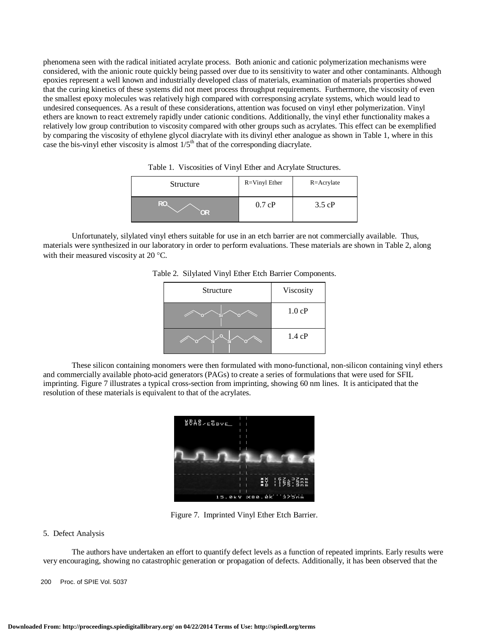phenomena seen with the radical initiated acrylate process. Both anionic and cationic polymerization mechanisms were considered, with the anionic route quickly being passed over due to its sensitivity to water and other contaminants. Although epoxies represent a well known and industrially developed class of materials, examination of materials properties showed that the curing kinetics of these systems did not meet process throughput requirements. Furthermore, the viscosity of even the smallest epoxy molecules was relatively high compared with corresponsing acrylate systems, which would lead to undesired consequences. As a result of these considerations, attention was focused on vinyl ether polymerization. Vinyl ethers are known to react extremely rapidly under cationic conditions. Additionally, the vinyl ether functionality makes a relatively low group contribution to viscosity compared with other groups such as acrylates. This effect can be exemplified by comparing the viscosity of ethylene glycol diacrylate with its divinyl ether analogue as shown in Table 1, where in this case the bis-vinyl ether viscosity is almost  $1/5<sup>th</sup>$  that of the corresponding diacrylate.

| Structure | $R = V$ inyl Ether | $R = A$ crylate  |
|-----------|--------------------|------------------|
| RO.<br>OR | 0.7 cP             | $3.5 \text{ cP}$ |

| Table 1. Viscosities of Vinyl Ether and Acrylate Structures. |  |  |  |  |  |
|--------------------------------------------------------------|--|--|--|--|--|
|--------------------------------------------------------------|--|--|--|--|--|

Unfortunately, silylated vinyl ethers suitable for use in an etch barrier are not commercially available. Thus, materials were synthesized in our laboratory in order to perform evaluations. These materials are shown in Table 2, along with their measured viscosity at 20 °C.

| Structure | Viscosity        |
|-----------|------------------|
| ٥         | $1.0 \text{ cP}$ |
| o<br>٥    | 1.4 cP           |

Table 2. Silylated Vinyl Ether Etch Barrier Components.

These silicon containing monomers were then formulated with mono-functional, non-silicon containing vinyl ethers and commercially available photo-acid generators (PAGs) to create a series of formulations that were used for SFIL imprinting. Figure 7 illustrates a typical cross-section from imprinting, showing 60 nm lines. It is anticipated that the resolution of these materials is equivalent to that of the acrylates.



Figure 7. Imprinted Vinyl Ether Etch Barrier.

### 5. Defect Analysis

The authors have undertaken an effort to quantify defect levels as a function of repeated imprints. Early results were very encouraging, showing no catastrophic generation or propagation of defects. Additionally, it has been observed that the

200 Proc. of SPIE Vol. 5037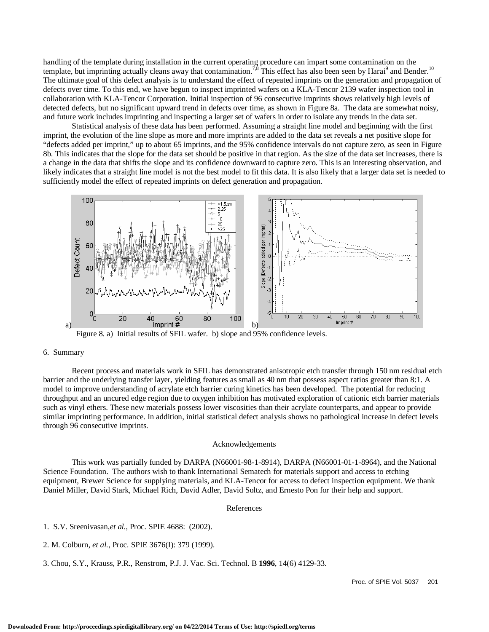handling of the template during installation in the current operating procedure can impart some contamination on the template, but imprinting actually cleans away that contamination.<sup>7,8</sup> This effect has also been seen by Harai<sup>9</sup> and Bender.<sup>10</sup> The ultimate goal of this defect analysis is to understand the effect of repeated imprints on the generation and propagation of defects over time. To this end, we have begun to inspect imprinted wafers on a KLA-Tencor 2139 wafer inspection tool in collaboration with KLA-Tencor Corporation. Initial inspection of 96 consecutive imprints shows relatively high levels of detected defects, but no significant upward trend in defects over time, as shown in Figure 8a. The data are somewhat noisy, and future work includes imprinting and inspecting a larger set of wafers in order to isolate any trends in the data set.

Statistical analysis of these data has been performed. Assuming a straight line model and beginning with the first imprint, the evolution of the line slope as more and more imprints are added to the data set reveals a net positive slope for "defects added per imprint," up to about 65 imprints, and the 95% confidence intervals do not capture zero, as seen in Figure 8b. This indicates that the slope for the data set should be positive in that region. As the size of the data set increases, there is a change in the data that shifts the slope and its confidence downward to capture zero. This is an interesting observation, and likely indicates that a straight line model is not the best model to fit this data. It is also likely that a larger data set is needed to sufficiently model the effect of repeated imprints on defect generation and propagation.



Figure 8. a) Initial results of SFIL wafer. b) slope and 95% confidence levels.

## 6. Summary

 Recent process and materials work in SFIL has demonstrated anisotropic etch transfer through 150 nm residual etch barrier and the underlying transfer layer, yielding features as small as 40 nm that possess aspect ratios greater than 8:1. A model to improve understanding of acrylate etch barrier curing kinetics has been developed. The potential for reducing throughput and an uncured edge region due to oxygen inhibition has motivated exploration of cationic etch barrier materials such as vinyl ethers. These new materials possess lower viscosities than their acrylate counterparts, and appear to provide similar imprinting performance. In addition, initial statistical defect analysis shows no pathological increase in defect levels through 96 consecutive imprints.

#### Acknowledgements

This work was partially funded by DARPA (N66001-98-1-8914), DARPA (N66001-01-1-8964), and the National Science Foundation. The authors wish to thank International Sematech for materials support and access to etching equipment, Brewer Science for supplying materials, and KLA-Tencor for access to defect inspection equipment. We thank Daniel Miller, David Stark, Michael Rich, David Adler, David Soltz, and Ernesto Pon for their help and support.

# References

1. S.V. Sreenivasan,*et al.*, Proc. SPIE 4688: (2002).

- 2. M. Colburn, *et al.*, Proc. SPIE 3676(I): 379 (1999).
- 3. Chou, S.Y., Krauss, P.R., Renstrom, P.J. J. Vac. Sci. Technol. B **1996**, 14(6) 4129-33.